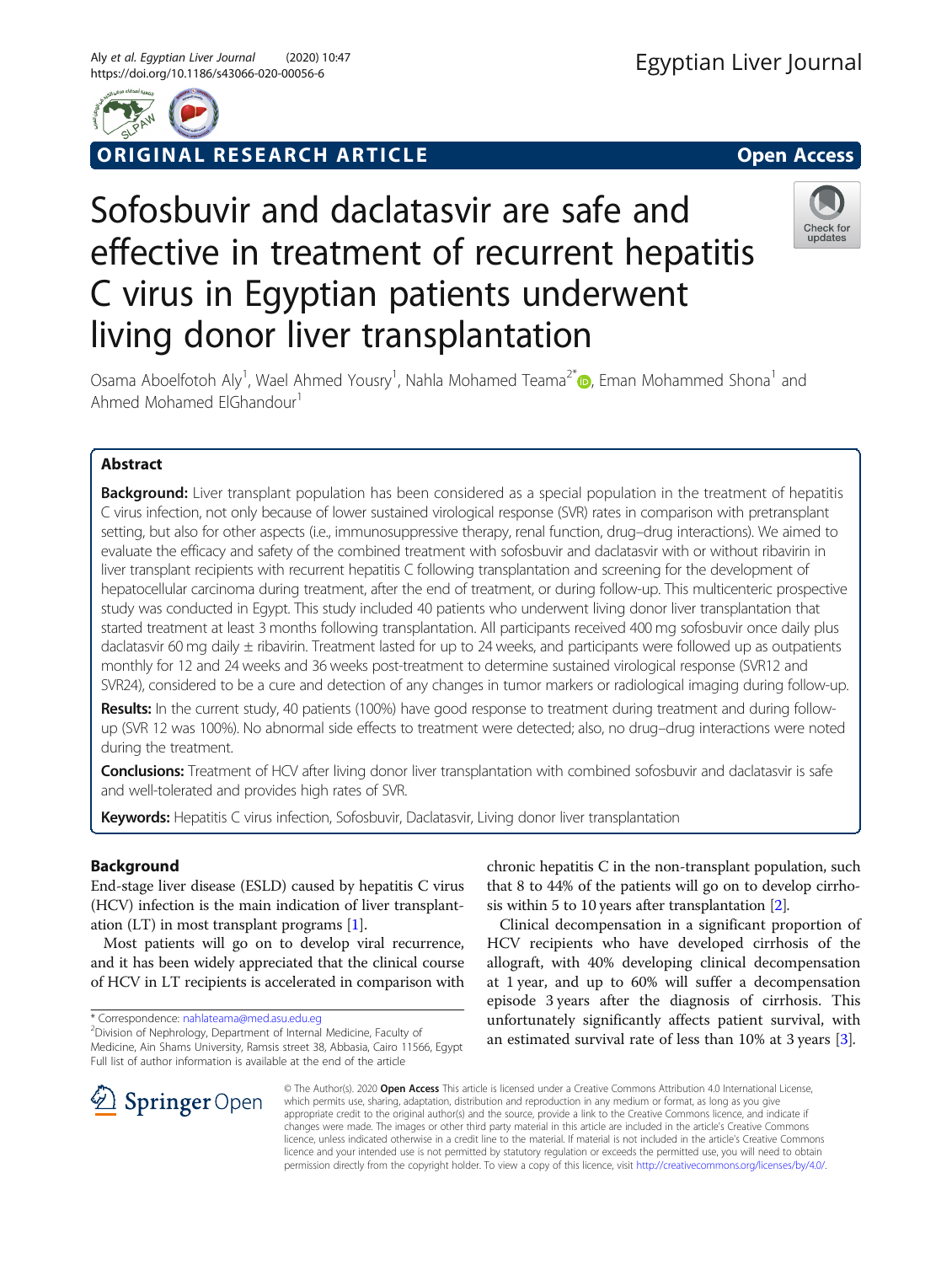

ORIGINAL RESEARCH ARTICLE **External of the Contract Open Access** 

# Sofosbuvir and daclatasvir are safe and effective in treatment of recurrent hepatitis C virus in Egyptian patients underwent living donor liver transplantation



Osama Aboelfotoh Aly<sup>1</sup>, Wael Ahmed Yousry<sup>1</sup>, Nahla Mohamed Teama<sup>2[\\*](http://orcid.org/0000-0003-0095-8721)</sup> @, Eman Mohammed Shona<sup>1</sup> and Ahmed Mohamed ElGhandour<sup>1</sup>

# Abstract

**Background:** Liver transplant population has been considered as a special population in the treatment of hepatitis C virus infection, not only because of lower sustained virological response (SVR) rates in comparison with pretransplant setting, but also for other aspects (i.e., immunosuppressive therapy, renal function, drug–drug interactions). We aimed to evaluate the efficacy and safety of the combined treatment with sofosbuvir and daclatasvir with or without ribavirin in liver transplant recipients with recurrent hepatitis C following transplantation and screening for the development of hepatocellular carcinoma during treatment, after the end of treatment, or during follow-up. This multicenteric prospective study was conducted in Egypt. This study included 40 patients who underwent living donor liver transplantation that started treatment at least 3 months following transplantation. All participants received 400 mg sofosbuvir once daily plus daclatasvir 60 mg daily ± ribavirin. Treatment lasted for up to 24 weeks, and participants were followed up as outpatients monthly for 12 and 24 weeks and 36 weeks post-treatment to determine sustained virological response (SVR12 and SVR24), considered to be a cure and detection of any changes in tumor markers or radiological imaging during follow-up.

Results: In the current study, 40 patients (100%) have good response to treatment during treatment and during followup (SVR 12 was 100%). No abnormal side effects to treatment were detected; also, no drug–drug interactions were noted during the treatment.

Conclusions: Treatment of HCV after living donor liver transplantation with combined sofosbuvir and daclatasvir is safe and well-tolerated and provides high rates of SVR.

Keywords: Hepatitis C virus infection, Sofosbuvir, Daclatasvir, Living donor liver transplantation

# Background

End-stage liver disease (ESLD) caused by hepatitis C virus (HCV) infection is the main indication of liver transplantation (LT) in most transplant programs [\[1\]](#page-4-0).

Most patients will go on to develop viral recurrence, and it has been widely appreciated that the clinical course of HCV in LT recipients is accelerated in comparison with

\* Correspondence: [nahlateama@med.asu.edu.eg](mailto:nahlateama@med.asu.edu.eg) <sup>2</sup>

<sup>2</sup> Division of Nephrology, Department of Internal Medicine, Faculty of Medicine, Ain Shams University, Ramsis street 38, Abbasia, Cairo 11566, Egypt Full list of author information is available at the end of the article

chronic hepatitis C in the non-transplant population, such that 8 to 44% of the patients will go on to develop cirrhosis within 5 to 10 years after transplantation [[2\]](#page-4-0).

Clinical decompensation in a significant proportion of HCV recipients who have developed cirrhosis of the allograft, with 40% developing clinical decompensation at 1 year, and up to 60% will suffer a decompensation episode 3 years after the diagnosis of cirrhosis. This unfortunately significantly affects patient survival, with an estimated survival rate of less than 10% at 3 years [[3\]](#page-4-0).



© The Author(s). 2020 Open Access This article is licensed under a Creative Commons Attribution 4.0 International License, which permits use, sharing, adaptation, distribution and reproduction in any medium or format, as long as you give appropriate credit to the original author(s) and the source, provide a link to the Creative Commons licence, and indicate if changes were made. The images or other third party material in this article are included in the article's Creative Commons licence, unless indicated otherwise in a credit line to the material. If material is not included in the article's Creative Commons licence and your intended use is not permitted by statutory regulation or exceeds the permitted use, you will need to obtain permission directly from the copyright holder. To view a copy of this licence, visit <http://creativecommons.org/licenses/by/4.0/>.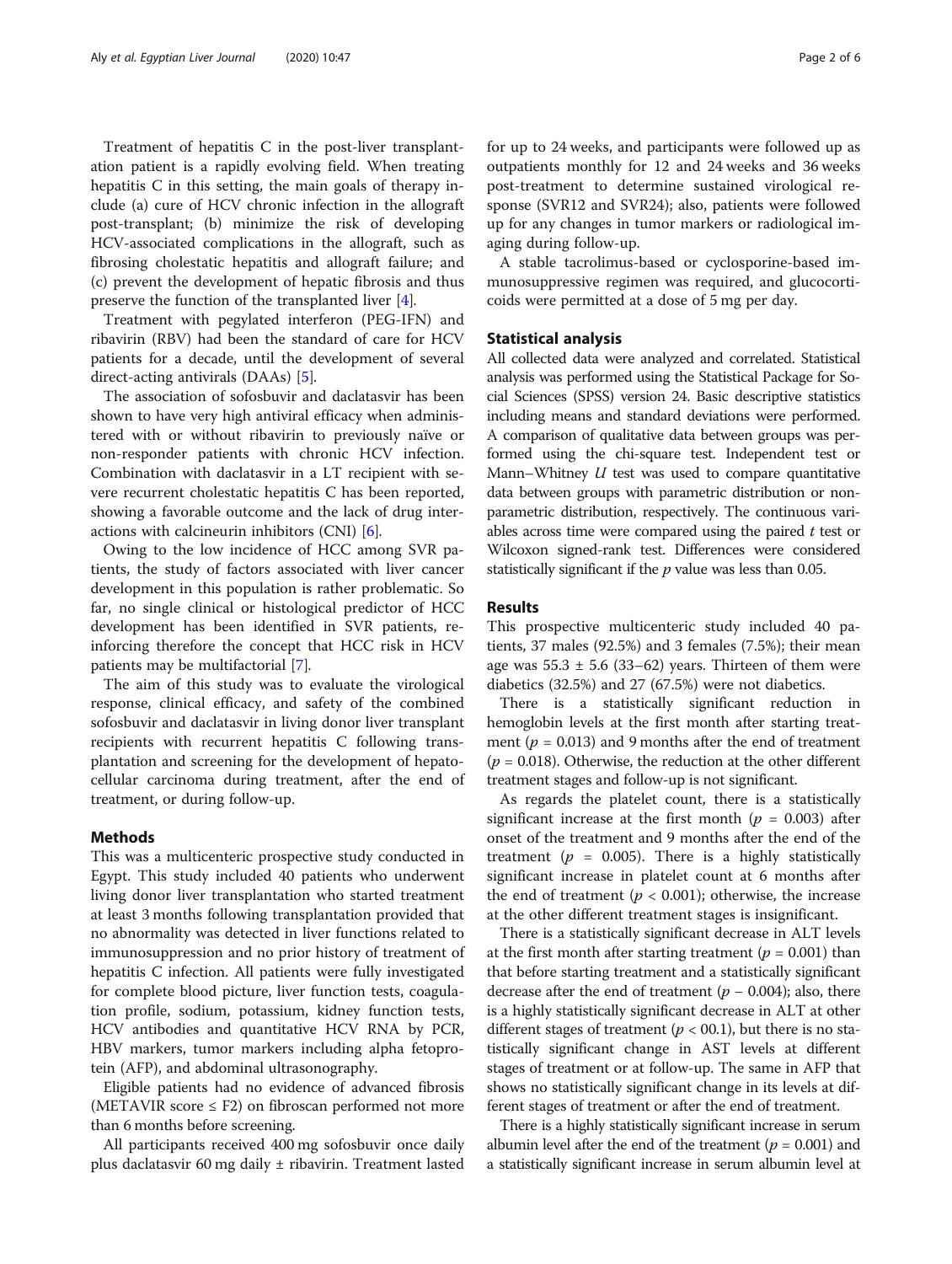Treatment of hepatitis C in the post-liver transplantation patient is a rapidly evolving field. When treating hepatitis C in this setting, the main goals of therapy include (a) cure of HCV chronic infection in the allograft post-transplant; (b) minimize the risk of developing HCV-associated complications in the allograft, such as fibrosing cholestatic hepatitis and allograft failure; and (c) prevent the development of hepatic fibrosis and thus preserve the function of the transplanted liver [\[4\]](#page-4-0).

Treatment with pegylated interferon (PEG-IFN) and ribavirin (RBV) had been the standard of care for HCV patients for a decade, until the development of several direct-acting antivirals (DAAs) [[5](#page-4-0)].

The association of sofosbuvir and daclatasvir has been shown to have very high antiviral efficacy when administered with or without ribavirin to previously naïve or non-responder patients with chronic HCV infection. Combination with daclatasvir in a LT recipient with severe recurrent cholestatic hepatitis C has been reported, showing a favorable outcome and the lack of drug interactions with calcineurin inhibitors (CNI) [\[6](#page-4-0)].

Owing to the low incidence of HCC among SVR patients, the study of factors associated with liver cancer development in this population is rather problematic. So far, no single clinical or histological predictor of HCC development has been identified in SVR patients, reinforcing therefore the concept that HCC risk in HCV patients may be multifactorial [\[7](#page-4-0)].

The aim of this study was to evaluate the virological response, clinical efficacy, and safety of the combined sofosbuvir and daclatasvir in living donor liver transplant recipients with recurrent hepatitis C following transplantation and screening for the development of hepatocellular carcinoma during treatment, after the end of treatment, or during follow-up.

## Methods

This was a multicenteric prospective study conducted in Egypt. This study included 40 patients who underwent living donor liver transplantation who started treatment at least 3 months following transplantation provided that no abnormality was detected in liver functions related to immunosuppression and no prior history of treatment of hepatitis C infection. All patients were fully investigated for complete blood picture, liver function tests, coagulation profile, sodium, potassium, kidney function tests, HCV antibodies and quantitative HCV RNA by PCR, HBV markers, tumor markers including alpha fetoprotein (AFP), and abdominal ultrasonography.

Eligible patients had no evidence of advanced fibrosis (METAVIR score  $\leq$  F2) on fibroscan performed not more than 6 months before screening.

All participants received 400 mg sofosbuvir once daily plus daclatasvir 60 mg daily  $\pm$  ribavirin. Treatment lasted for up to 24 weeks, and participants were followed up as outpatients monthly for 12 and 24 weeks and 36 weeks post-treatment to determine sustained virological response (SVR12 and SVR24); also, patients were followed up for any changes in tumor markers or radiological imaging during follow-up.

A stable tacrolimus-based or cyclosporine-based immunosuppressive regimen was required, and glucocorticoids were permitted at a dose of 5 mg per day.

## Statistical analysis

All collected data were analyzed and correlated. Statistical analysis was performed using the Statistical Package for Social Sciences (SPSS) version 24. Basic descriptive statistics including means and standard deviations were performed. A comparison of qualitative data between groups was performed using the chi-square test. Independent test or Mann–Whitney  $U$  test was used to compare quantitative data between groups with parametric distribution or nonparametric distribution, respectively. The continuous variables across time were compared using the paired  $t$  test or Wilcoxon signed-rank test. Differences were considered statistically significant if the  $p$  value was less than 0.05.

## Results

This prospective multicenteric study included 40 patients, 37 males (92.5%) and 3 females (7.5%); their mean age was  $55.3 \pm 5.6$  (33–62) years. Thirteen of them were diabetics (32.5%) and 27 (67.5%) were not diabetics.

There is a statistically significant reduction in hemoglobin levels at the first month after starting treatment ( $p = 0.013$ ) and 9 months after the end of treatment  $(p = 0.018)$ . Otherwise, the reduction at the other different treatment stages and follow-up is not significant.

As regards the platelet count, there is a statistically significant increase at the first month ( $p = 0.003$ ) after onset of the treatment and 9 months after the end of the treatment ( $p = 0.005$ ). There is a highly statistically significant increase in platelet count at 6 months after the end of treatment ( $p < 0.001$ ); otherwise, the increase at the other different treatment stages is insignificant.

There is a statistically significant decrease in ALT levels at the first month after starting treatment ( $p = 0.001$ ) than that before starting treatment and a statistically significant decrease after the end of treatment  $(p - 0.004)$ ; also, there is a highly statistically significant decrease in ALT at other different stages of treatment ( $p < 00.1$ ), but there is no statistically significant change in AST levels at different stages of treatment or at follow-up. The same in AFP that shows no statistically significant change in its levels at different stages of treatment or after the end of treatment.

There is a highly statistically significant increase in serum albumin level after the end of the treatment ( $p = 0.001$ ) and a statistically significant increase in serum albumin level at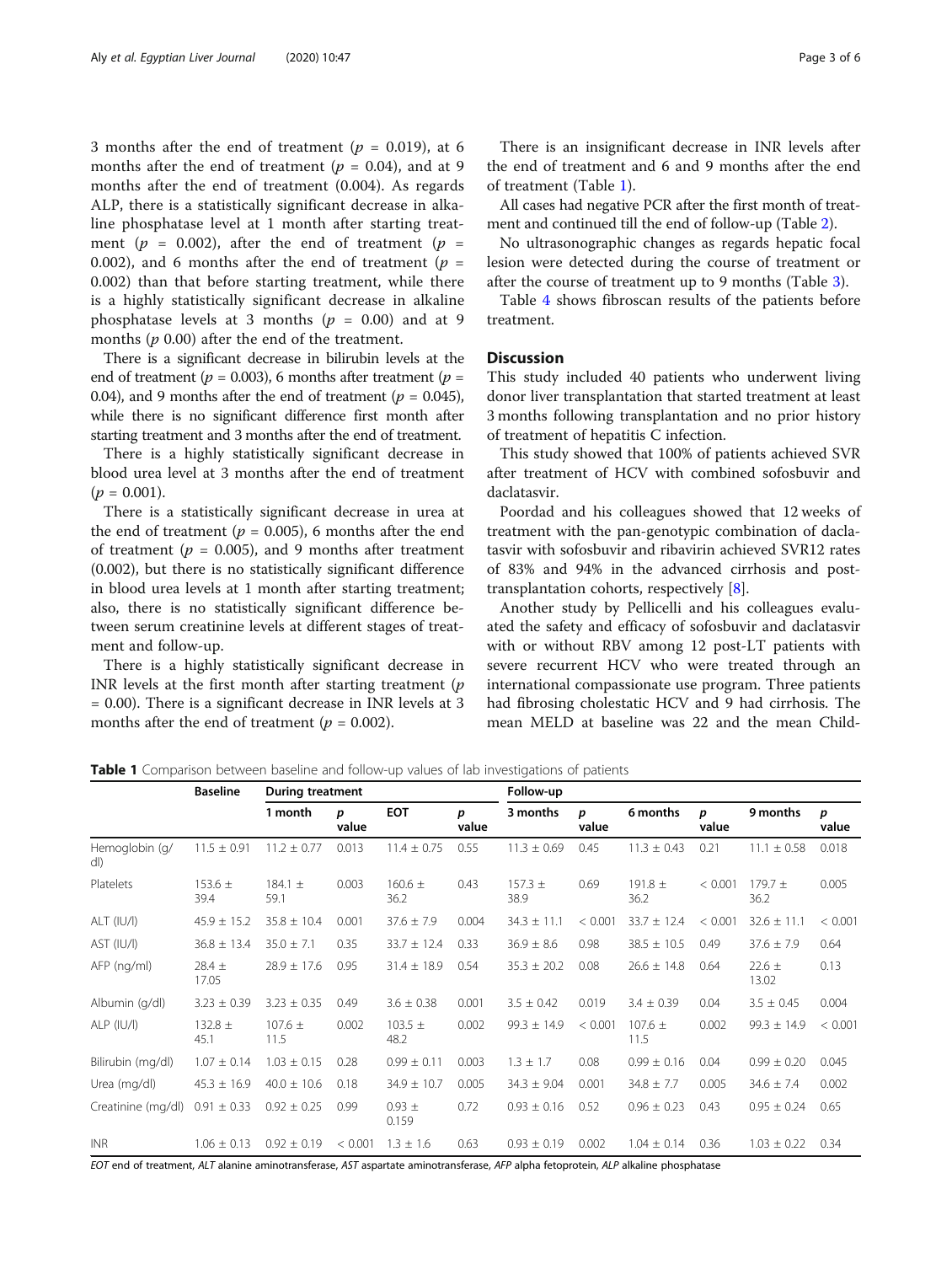3 months after the end of treatment ( $p = 0.019$ ), at 6 months after the end of treatment ( $p = 0.04$ ), and at 9 months after the end of treatment (0.004). As regards ALP, there is a statistically significant decrease in alkaline phosphatase level at 1 month after starting treatment ( $p = 0.002$ ), after the end of treatment ( $p =$ 0.002), and 6 months after the end of treatment ( $p =$ 0.002) than that before starting treatment, while there is a highly statistically significant decrease in alkaline phosphatase levels at 3 months ( $p = 0.00$ ) and at 9 months  $(p 0.00)$  after the end of the treatment.

There is a significant decrease in bilirubin levels at the end of treatment ( $p = 0.003$ ), 6 months after treatment ( $p =$ 0.04), and 9 months after the end of treatment ( $p = 0.045$ ), while there is no significant difference first month after starting treatment and 3 months after the end of treatment.

There is a highly statistically significant decrease in blood urea level at 3 months after the end of treatment  $(p = 0.001)$ .

There is a statistically significant decrease in urea at the end of treatment ( $p = 0.005$ ), 6 months after the end of treatment ( $p = 0.005$ ), and 9 months after treatment (0.002), but there is no statistically significant difference in blood urea levels at 1 month after starting treatment; also, there is no statistically significant difference between serum creatinine levels at different stages of treatment and follow-up.

There is a highly statistically significant decrease in INR levels at the first month after starting treatment  $(p)$ = 0.00). There is a significant decrease in INR levels at 3 months after the end of treatment ( $p = 0.002$ ).

There is an insignificant decrease in INR levels after the end of treatment and 6 and 9 months after the end of treatment (Table 1).

All cases had negative PCR after the first month of treatment and continued till the end of follow-up (Table [2\)](#page-3-0).

No ultrasonographic changes as regards hepatic focal lesion were detected during the course of treatment or after the course of treatment up to 9 months (Table [3\)](#page-3-0).

Table [4](#page-3-0) shows fibroscan results of the patients before treatment.

## **Discussion**

This study included 40 patients who underwent living donor liver transplantation that started treatment at least 3 months following transplantation and no prior history of treatment of hepatitis C infection.

This study showed that 100% of patients achieved SVR after treatment of HCV with combined sofosbuvir and daclatasvir.

Poordad and his colleagues showed that 12 weeks of treatment with the pan-genotypic combination of daclatasvir with sofosbuvir and ribavirin achieved SVR12 rates of 83% and 94% in the advanced cirrhosis and posttransplantation cohorts, respectively [[8\]](#page-5-0).

Another study by Pellicelli and his colleagues evaluated the safety and efficacy of sofosbuvir and daclatasvir with or without RBV among 12 post-LT patients with severe recurrent HCV who were treated through an international compassionate use program. Three patients had fibrosing cholestatic HCV and 9 had cirrhosis. The mean MELD at baseline was 22 and the mean Child-

**Table 1** Comparison between baseline and follow-up values of lab investigations of patients

|                         | <b>Baseline</b>     | <b>During treatment</b> |            |                     | Follow-up  |                     |            |                     |            |                     |            |
|-------------------------|---------------------|-------------------------|------------|---------------------|------------|---------------------|------------|---------------------|------------|---------------------|------------|
|                         |                     | 1 month                 | p<br>value | <b>EOT</b>          | p<br>value | 3 months            | p<br>value | 6 months            | D<br>value | 9 months            | p<br>value |
| Hemoglobin (g/<br>dl)   | $11.5 \pm 0.91$     | $11.2 \pm 0.77$         | 0.013      | $11.4 \pm 0.75$     | 0.55       | $11.3 \pm 0.69$     | 0.45       | $11.3 \pm 0.43$     | 0.21       | $11.1 \pm 0.58$     | 0.018      |
| Platelets               | 153.6 $\pm$<br>39.4 | 184.1 $\pm$<br>59.1     | 0.003      | $160.6 \pm$<br>36.2 | 0.43       | $157.3 \pm$<br>38.9 | 0.69       | 191.8 $\pm$<br>36.2 | < 0.001    | $179.7 \pm$<br>36.2 | 0.005      |
| $ALT$ (IU/I)            | $45.9 \pm 15.2$     | $35.8 \pm 10.4$         | 0.001      | $37.6 \pm 7.9$      | 0.004      | $34.3 \pm 11.1$     | < 0.001    | $33.7 \pm 12.4$     | < 0.001    | $32.6 \pm 11.1$     | < 0.001    |
| AST (IU/I)              | $36.8 \pm 13.4$     | $35.0 \pm 7.1$          | 0.35       | $33.7 \pm 12.4$     | 0.33       | $36.9 \pm 8.6$      | 0.98       | $38.5 \pm 10.5$     | 0.49       | $37.6 \pm 7.9$      | 0.64       |
| AFP (ng/ml)             | $28.4 \pm$<br>17.05 | $28.9 \pm 17.6$         | 0.95       | $31.4 \pm 18.9$     | 0.54       | $35.3 \pm 20.2$     | 0.08       | $26.6 \pm 14.8$     | 0.64       | $22.6 \pm$<br>13.02 | 0.13       |
| Albumin (g/dl)          | $3.23 \pm 0.39$     | $3.23 \pm 0.35$         | 0.49       | $3.6 \pm 0.38$      | 0.001      | $3.5 \pm 0.42$      | 0.019      | $3.4 \pm 0.39$      | 0.04       | $3.5 \pm 0.45$      | 0.004      |
| $ALP$ ( $ U/I\rangle$ ) | 132.8 $\pm$<br>45.1 | $107.6 \pm$<br>11.5     | 0.002      | 103.5 $\pm$<br>48.2 | 0.002      | $99.3 \pm 14.9$     | < 0.001    | $107.6 \pm$<br>11.5 | 0.002      | $99.3 \pm 14.9$     | < 0.001    |
| Bilirubin (mg/dl)       | $1.07 \pm 0.14$     | $1.03 \pm 0.15$         | 0.28       | $0.99 \pm 0.11$     | 0.003      | $1.3 \pm 1.7$       | 0.08       | $0.99 \pm 0.16$     | 0.04       | $0.99 \pm 0.20$     | 0.045      |
| Urea (mg/dl)            | $45.3 \pm 16.9$     | $40.0 \pm 10.6$         | 0.18       | $34.9 \pm 10.7$     | 0.005      | $34.3 \pm 9.04$     | 0.001      | $34.8 \pm 7.7$      | 0.005      | $34.6 \pm 7.4$      | 0.002      |
| Creatinine (mg/dl)      | $0.91 \pm 0.33$     | $0.92 \pm 0.25$         | 0.99       | $0.93 \pm$<br>0.159 | 0.72       | $0.93 \pm 0.16$     | 0.52       | $0.96 \pm 0.23$     | 0.43       | $0.95 \pm 0.24$     | 0.65       |
| <b>INR</b>              | $1.06 \pm 0.13$     | $0.92 \pm 0.19$         | < 0.001    | $1.3 \pm 1.6$       | 0.63       | $0.93 \pm 0.19$     | 0.002      | $1.04 \pm 0.14$     | 0.36       | $1.03 \pm 0.22$     | 0.34       |

EOT end of treatment, ALT alanine aminotransferase, AST aspartate aminotransferase, AFP alpha fetoprotein, ALP alkaline phosphatase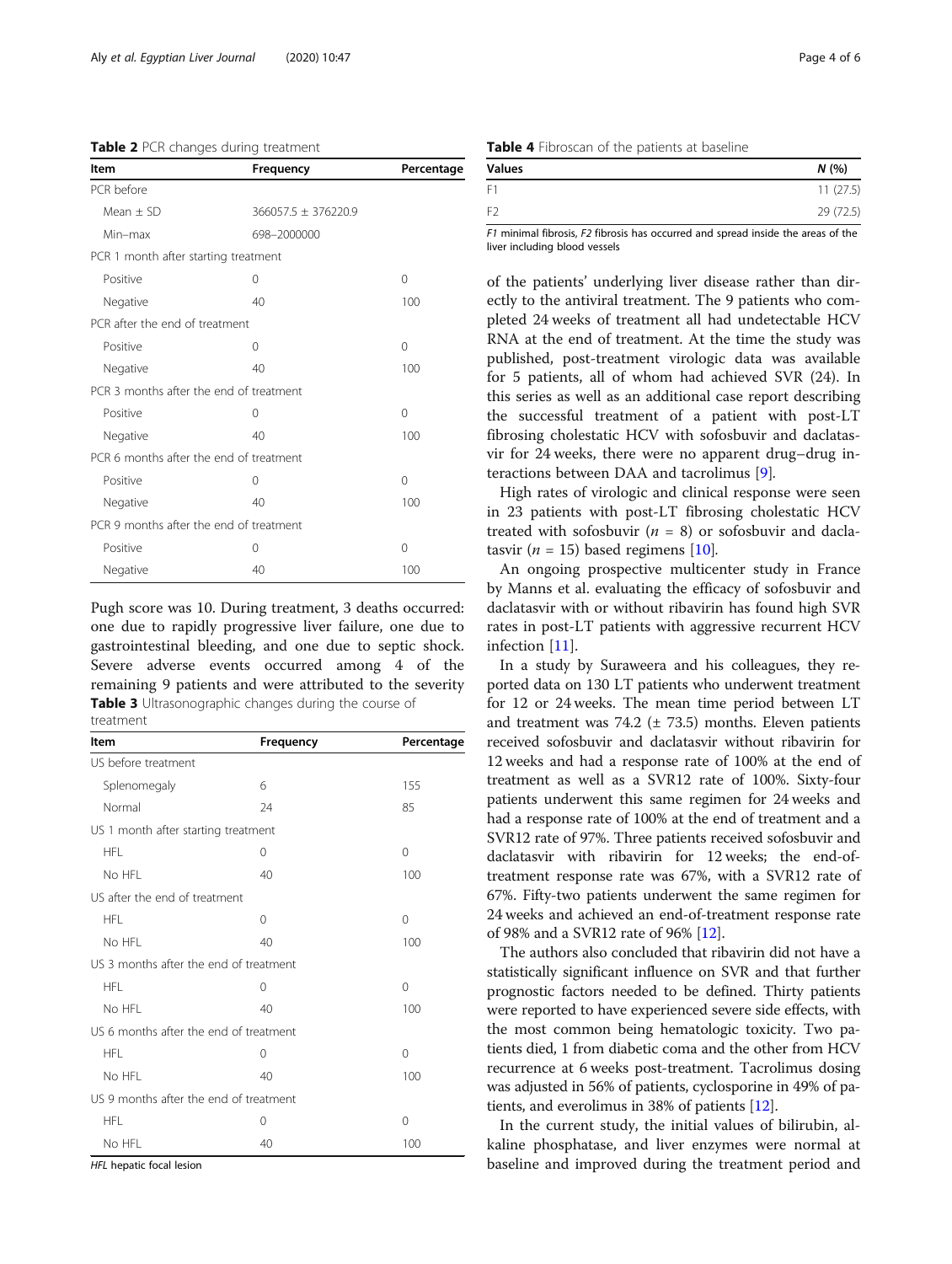<span id="page-3-0"></span>

| Table 2 PCR changes during treatment |  |  |  |
|--------------------------------------|--|--|--|
|--------------------------------------|--|--|--|

| ltem                                    | Frequency                      | Percentage |  |  |  |
|-----------------------------------------|--------------------------------|------------|--|--|--|
| PCR before                              |                                |            |  |  |  |
| Mean $\pm$ SD                           | 366057.5 ± 376220.9            |            |  |  |  |
| Min-max                                 | 698-2000000                    |            |  |  |  |
| PCR 1 month after starting treatment    |                                |            |  |  |  |
| Positive                                | 0                              | $\Omega$   |  |  |  |
| Negative                                | 40                             | 100        |  |  |  |
|                                         | PCR after the end of treatment |            |  |  |  |
| Positive                                | 0                              | $\Omega$   |  |  |  |
| Negative                                | 40                             | 100        |  |  |  |
| PCR 3 months after the end of treatment |                                |            |  |  |  |
| Positive                                | 0                              | $\Omega$   |  |  |  |
| Negative                                | 40                             | 100        |  |  |  |
| PCR 6 months after the end of treatment |                                |            |  |  |  |
| Positive                                | 0                              | $\Omega$   |  |  |  |
| Negative                                | 40                             | 100        |  |  |  |
| PCR 9 months after the end of treatment |                                |            |  |  |  |
| Positive                                | 0                              | 0          |  |  |  |
| Negative                                | 40                             | 100        |  |  |  |

Pugh score was 10. During treatment, 3 deaths occurred: one due to rapidly progressive liver failure, one due to gastrointestinal bleeding, and one due to septic shock. Severe adverse events occurred among 4 of the remaining 9 patients and were attributed to the severity Table 3 Ultrasonographic changes during the course of treatment

| Item                                   | Frequency | Percentage |  |  |
|----------------------------------------|-----------|------------|--|--|
| US before treatment                    |           |            |  |  |
| Splenomegaly                           | 6         | 155        |  |  |
| Normal                                 | 24        | 85         |  |  |
| US 1 month after starting treatment    |           |            |  |  |
| <b>HFL</b>                             | 0         | 0          |  |  |
| No HFL                                 | 40        | 100        |  |  |
| US after the end of treatment          |           |            |  |  |
| <b>HFL</b>                             | $\Omega$  | $\Omega$   |  |  |
| No HFL                                 | 40        | 100        |  |  |
| US 3 months after the end of treatment |           |            |  |  |
| <b>HFL</b>                             | 0         | $\Omega$   |  |  |
| No HFL                                 | 40        | 100        |  |  |
| US 6 months after the end of treatment |           |            |  |  |
| HFL                                    | 0         | $\Omega$   |  |  |
| No HFL                                 | 40        | 100        |  |  |
| US 9 months after the end of treatment |           |            |  |  |
| <b>HFL</b>                             | 0         | $\Omega$   |  |  |
| No HFL                                 | 40        | 100        |  |  |

HFL hepatic focal lesion

| Table 4 Fibroscan of the patients at baseline |  |  |  |  |
|-----------------------------------------------|--|--|--|--|
|-----------------------------------------------|--|--|--|--|

| <b>Values</b>  | N(%       |
|----------------|-----------|
| F1             | 11(27.5)  |
| F <sub>2</sub> | 29 (72.5) |
|                |           |

F1 minimal fibrosis, F2 fibrosis has occurred and spread inside the areas of the liver including blood vessels

of the patients' underlying liver disease rather than directly to the antiviral treatment. The 9 patients who completed 24 weeks of treatment all had undetectable HCV RNA at the end of treatment. At the time the study was published, post-treatment virologic data was available for 5 patients, all of whom had achieved SVR (24). In this series as well as an additional case report describing the successful treatment of a patient with post-LT fibrosing cholestatic HCV with sofosbuvir and daclatasvir for 24 weeks, there were no apparent drug–drug interactions between DAA and tacrolimus [[9\]](#page-5-0).

High rates of virologic and clinical response were seen in 23 patients with post-LT fibrosing cholestatic HCV treated with sofosbuvir  $(n = 8)$  or sofosbuvir and daclatasvir ( $n = 15$ ) based regimens [[10\]](#page-5-0).

An ongoing prospective multicenter study in France by Manns et al. evaluating the efficacy of sofosbuvir and daclatasvir with or without ribavirin has found high SVR rates in post-LT patients with aggressive recurrent HCV infection [[11\]](#page-5-0).

In a study by Suraweera and his colleagues, they reported data on 130 LT patients who underwent treatment for 12 or 24 weeks. The mean time period between LT and treatment was 74.2 ( $\pm$  73.5) months. Eleven patients received sofosbuvir and daclatasvir without ribavirin for 12 weeks and had a response rate of 100% at the end of treatment as well as a SVR12 rate of 100%. Sixty-four patients underwent this same regimen for 24 weeks and had a response rate of 100% at the end of treatment and a SVR12 rate of 97%. Three patients received sofosbuvir and daclatasvir with ribavirin for 12 weeks; the end-oftreatment response rate was 67%, with a SVR12 rate of 67%. Fifty-two patients underwent the same regimen for 24 weeks and achieved an end-of-treatment response rate of 98% and a SVR12 rate of 96% [[12](#page-5-0)].

The authors also concluded that ribavirin did not have a statistically significant influence on SVR and that further prognostic factors needed to be defined. Thirty patients were reported to have experienced severe side effects, with the most common being hematologic toxicity. Two patients died, 1 from diabetic coma and the other from HCV recurrence at 6 weeks post-treatment. Tacrolimus dosing was adjusted in 56% of patients, cyclosporine in 49% of patients, and everolimus in 38% of patients [\[12\]](#page-5-0).

In the current study, the initial values of bilirubin, alkaline phosphatase, and liver enzymes were normal at baseline and improved during the treatment period and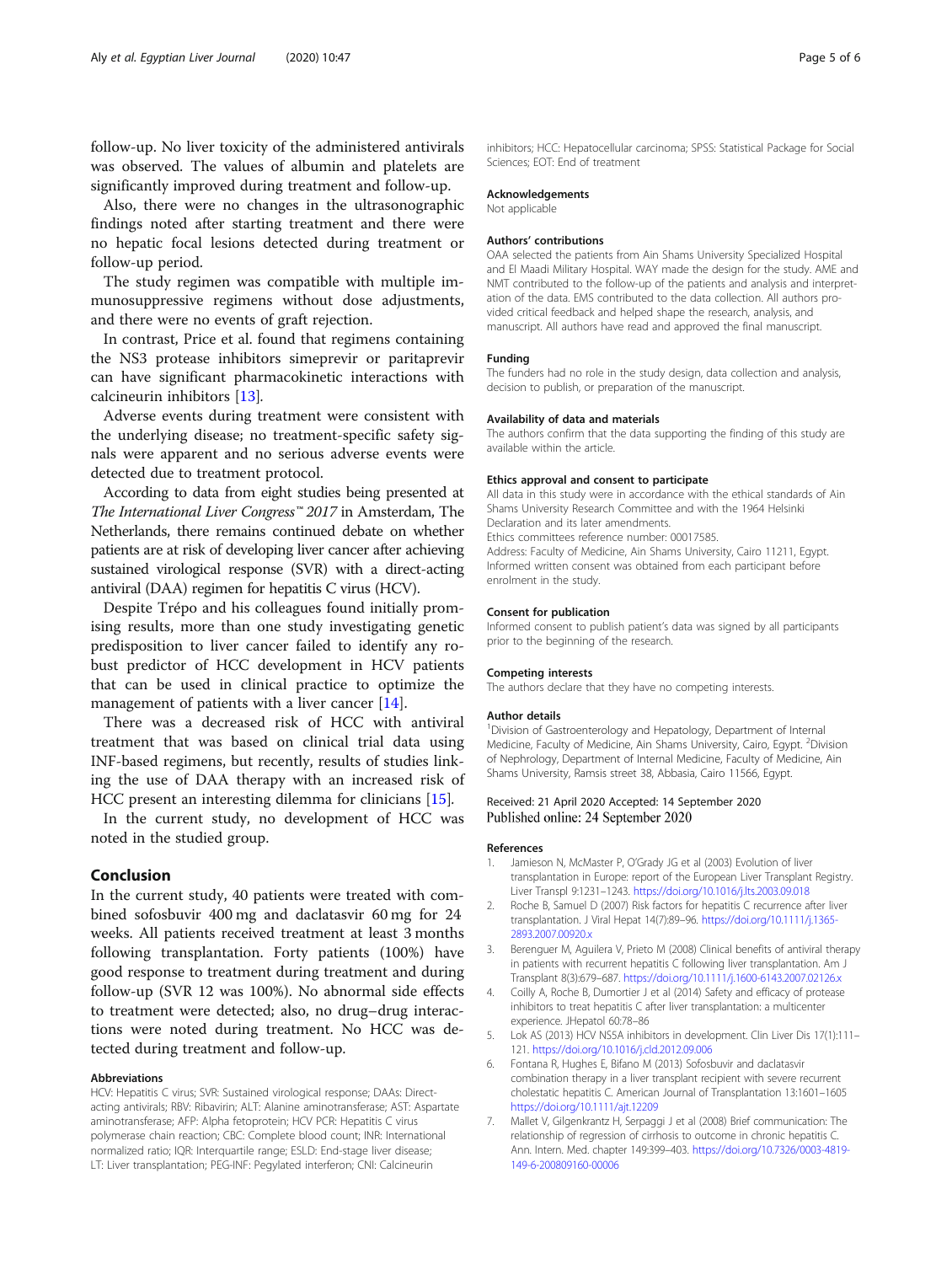<span id="page-4-0"></span>follow-up. No liver toxicity of the administered antivirals was observed. The values of albumin and platelets are significantly improved during treatment and follow-up.

Also, there were no changes in the ultrasonographic findings noted after starting treatment and there were no hepatic focal lesions detected during treatment or follow-up period.

The study regimen was compatible with multiple immunosuppressive regimens without dose adjustments, and there were no events of graft rejection.

In contrast, Price et al. found that regimens containing the NS3 protease inhibitors simeprevir or paritaprevir can have significant pharmacokinetic interactions with calcineurin inhibitors [\[13\]](#page-5-0).

Adverse events during treatment were consistent with the underlying disease; no treatment-specific safety signals were apparent and no serious adverse events were detected due to treatment protocol.

According to data from eight studies being presented at The International Liver Congress<sup>™</sup> 2017 in Amsterdam, The Netherlands, there remains continued debate on whether patients are at risk of developing liver cancer after achieving sustained virological response (SVR) with a direct-acting antiviral (DAA) regimen for hepatitis C virus (HCV).

Despite Trépo and his colleagues found initially promising results, more than one study investigating genetic predisposition to liver cancer failed to identify any robust predictor of HCC development in HCV patients that can be used in clinical practice to optimize the management of patients with a liver cancer [[14\]](#page-5-0).

There was a decreased risk of HCC with antiviral treatment that was based on clinical trial data using INF-based regimens, but recently, results of studies linking the use of DAA therapy with an increased risk of HCC present an interesting dilemma for clinicians [[15](#page-5-0)].

In the current study, no development of HCC was noted in the studied group.

## Conclusion

In the current study, 40 patients were treated with combined sofosbuvir 400 mg and daclatasvir 60 mg for 24 weeks. All patients received treatment at least 3 months following transplantation. Forty patients (100%) have good response to treatment during treatment and during follow-up (SVR 12 was 100%). No abnormal side effects to treatment were detected; also, no drug–drug interactions were noted during treatment. No HCC was detected during treatment and follow-up.

## Abbreviations

HCV: Hepatitis C virus; SVR: Sustained virological response; DAAs: Directacting antivirals; RBV: Ribavirin; ALT: Alanine aminotransferase; AST: Aspartate aminotransferase; AFP: Alpha fetoprotein; HCV PCR: Hepatitis C virus polymerase chain reaction; CBC: Complete blood count; INR: International normalized ratio; IQR: Interquartile range; ESLD: End-stage liver disease; LT: Liver transplantation; PEG-INF: Pegylated interferon; CNI: Calcineurin

inhibitors; HCC: Hepatocellular carcinoma; SPSS: Statistical Package for Social Sciences; EOT: End of treatment

#### Acknowledgements

Not applicable

#### Authors' contributions

OAA selected the patients from Ain Shams University Specialized Hospital and El Maadi Military Hospital. WAY made the design for the study. AME and NMT contributed to the follow-up of the patients and analysis and interpretation of the data. EMS contributed to the data collection. All authors provided critical feedback and helped shape the research, analysis, and manuscript. All authors have read and approved the final manuscript.

#### Funding

The funders had no role in the study design, data collection and analysis, decision to publish, or preparation of the manuscript.

#### Availability of data and materials

The authors confirm that the data supporting the finding of this study are available within the article.

#### Ethics approval and consent to participate

All data in this study were in accordance with the ethical standards of Ain Shams University Research Committee and with the 1964 Helsinki Declaration and its later amendments. Ethics committees reference number: 00017585. Address: Faculty of Medicine, Ain Shams University, Cairo 11211, Egypt. Informed written consent was obtained from each participant before enrolment in the study.

#### Consent for publication

Informed consent to publish patient's data was signed by all participants prior to the beginning of the research.

#### Competing interests

The authors declare that they have no competing interests.

#### Author details

<sup>1</sup> Division of Gastroenterology and Hepatology, Department of Internal Medicine, Faculty of Medicine, Ain Shams University, Cairo, Egypt. <sup>2</sup>Division of Nephrology, Department of Internal Medicine, Faculty of Medicine, Ain Shams University, Ramsis street 38, Abbasia, Cairo 11566, Egypt.

## Received: 21 April 2020 Accepted: 14 September 2020 Published online: 24 September 2020

## References

- 1. Jamieson N, McMaster P, O'Grady JG et al (2003) Evolution of liver transplantation in Europe: report of the European Liver Transplant Registry. Liver Transpl 9:1231–1243. <https://doi.org/10.1016/j.lts.2003.09.018>
- 2. Roche B, Samuel D (2007) Risk factors for hepatitis C recurrence after liver transplantation. J Viral Hepat 14(7):89–96. [https://doi.org/10.1111/j.1365-](https://doi.org/10.1111/j.1365-2893.2007.00920.x) [2893.2007.00920.x](https://doi.org/10.1111/j.1365-2893.2007.00920.x)
- 3. Berenguer M, Aguilera V, Prieto M (2008) Clinical benefits of antiviral therapy in patients with recurrent hepatitis C following liver transplantation. Am J Transplant 8(3):679–687. <https://doi.org/10.1111/j.1600-6143.2007.02126.x>
- 4. Coilly A, Roche B, Dumortier J et al (2014) Safety and efficacy of protease inhibitors to treat hepatitis C after liver transplantation: a multicenter experience. JHepatol 60:78–86
- 5. Lok AS (2013) HCV NS5A inhibitors in development. Clin Liver Dis 17(1):111– 121. <https://doi.org/10.1016/j.cld.2012.09.006>
- 6. Fontana R, Hughes E, Bifano M (2013) Sofosbuvir and daclatasvir combination therapy in a liver transplant recipient with severe recurrent cholestatic hepatitis C. American Journal of Transplantation 13:1601–1605 <https://doi.org/10.1111/ajt.12209>
- 7. Mallet V, Gilgenkrantz H, Serpaggi J et al (2008) Brief communication: The relationship of regression of cirrhosis to outcome in chronic hepatitis C. Ann. Intern. Med. chapter 149:399–403. [https://doi.org/10.7326/0003-4819-](https://doi.org/10.7326/0003-4819-149-6-200809160-00006) [149-6-200809160-00006](https://doi.org/10.7326/0003-4819-149-6-200809160-00006)